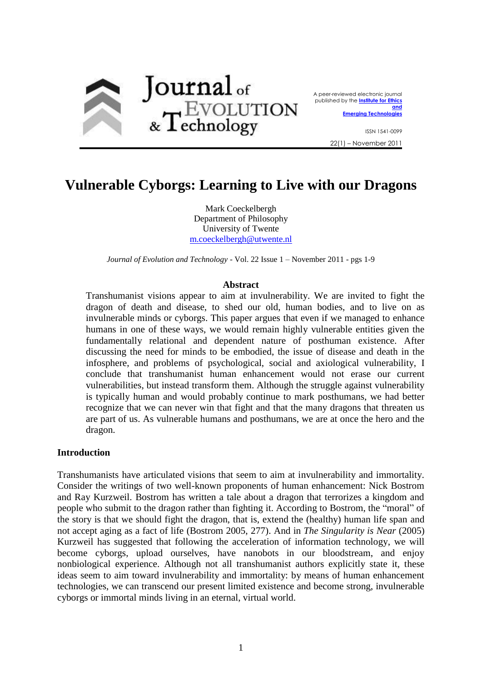

A peer-reviewed electronic journal published by the **[Institute for Ethics](http://ieet.org/)  [and](http://ieet.org/)  [Emerging Technologies](http://ieet.org/)**

> ISSN 1541-0099 22(1) – November 2011

# **Vulnerable Cyborgs: Learning to Live with our Dragons**

Mark Coeckelbergh Department of Philosophy University of Twente [m.coeckelbergh@utwente.nl](mailto:m.coeckelbergh@utwente.nl)

*Journal of Evolution and Technology* - Vol. 22 Issue 1 – November 2011 - pgs 1-9

#### **Abstract**

Transhumanist visions appear to aim at invulnerability. We are invited to fight the dragon of death and disease, to shed our old, human bodies, and to live on as invulnerable minds or cyborgs. This paper argues that even if we managed to enhance humans in one of these ways, we would remain highly vulnerable entities given the fundamentally relational and dependent nature of posthuman existence. After discussing the need for minds to be embodied, the issue of disease and death in the infosphere, and problems of psychological, social and axiological vulnerability, I conclude that transhumanist human enhancement would not erase our current vulnerabilities, but instead transform them. Although the struggle against vulnerability is typically human and would probably continue to mark posthumans, we had better recognize that we can never win that fight and that the many dragons that threaten us are part of us. As vulnerable humans and posthumans, we are at once the hero and the dragon.

#### **Introduction**

Transhumanists have articulated visions that seem to aim at invulnerability and immortality. Consider the writings of two well-known proponents of human enhancement: Nick Bostrom and Ray Kurzweil. Bostrom has written a tale about a dragon that terrorizes a kingdom and people who submit to the dragon rather than fighting it. According to Bostrom, the "moral" of the story is that we should fight the dragon, that is, extend the (healthy) human life span and not accept aging as a fact of life (Bostrom 2005, 277). And in *The Singularity is Near* (2005) Kurzweil has suggested that following the acceleration of information technology, we will become cyborgs, upload ourselves, have nanobots in our bloodstream, and enjoy nonbiological experience. Although not all transhumanist authors explicitly state it, these ideas seem to aim toward invulnerability and immortality: by means of human enhancement technologies, we can transcend our present limited existence and become strong, invulnerable cyborgs or immortal minds living in an eternal, virtual world.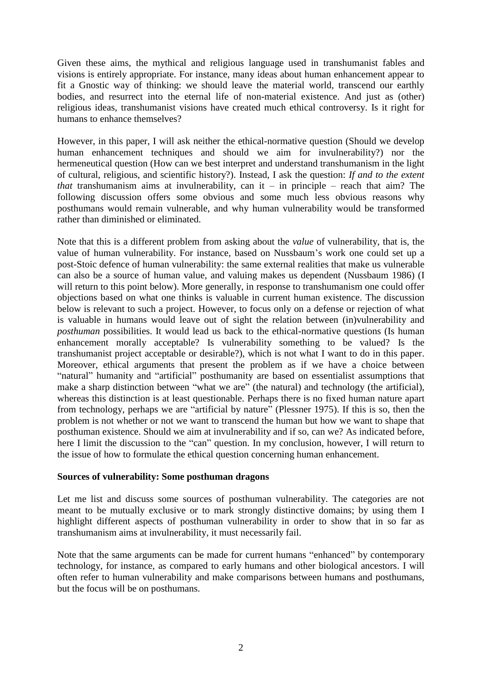Given these aims, the mythical and religious language used in transhumanist fables and visions is entirely appropriate. For instance, many ideas about human enhancement appear to fit a Gnostic way of thinking: we should leave the material world, transcend our earthly bodies, and resurrect into the eternal life of non-material existence. And just as (other) religious ideas, transhumanist visions have created much ethical controversy. Is it right for humans to enhance themselves?

However, in this paper, I will ask neither the ethical-normative question (Should we develop human enhancement techniques and should we aim for invulnerability?) nor the hermeneutical question (How can we best interpret and understand transhumanism in the light of cultural, religious, and scientific history?). Instead, I ask the question: *If and to the extent that* transhumanism aims at invulnerability, can it – in principle – reach that aim? The following discussion offers some obvious and some much less obvious reasons why posthumans would remain vulnerable, and why human vulnerability would be transformed rather than diminished or eliminated.

Note that this is a different problem from asking about the *value* of vulnerability, that is, the value of human vulnerability. For instance, based on Nussbaum's work one could set up a post-Stoic defence of human vulnerability: the same external realities that make us vulnerable can also be a source of human value, and valuing makes us dependent (Nussbaum 1986) (I will return to this point below). More generally, in response to transhumanism one could offer objections based on what one thinks is valuable in current human existence. The discussion below is relevant to such a project. However, to focus only on a defense or rejection of what is valuable in humans would leave out of sight the relation between (in)vulnerability and *posthuman* possibilities. It would lead us back to the ethical-normative questions (Is human enhancement morally acceptable? Is vulnerability something to be valued? Is the transhumanist project acceptable or desirable?), which is not what I want to do in this paper. Moreover, ethical arguments that present the problem as if we have a choice between "natural" humanity and "artificial" posthumanity are based on essentialist assumptions that make a sharp distinction between "what we are" (the natural) and technology (the artificial), whereas this distinction is at least questionable. Perhaps there is no fixed human nature apart from technology, perhaps we are "artificial by nature" (Plessner 1975). If this is so, then the problem is not whether or not we want to transcend the human but how we want to shape that posthuman existence. Should we aim at invulnerability and if so, can we? As indicated before, here I limit the discussion to the "can" question. In my conclusion, however, I will return to the issue of how to formulate the ethical question concerning human enhancement.

## **Sources of vulnerability: Some posthuman dragons**

Let me list and discuss some sources of posthuman vulnerability. The categories are not meant to be mutually exclusive or to mark strongly distinctive domains; by using them I highlight different aspects of posthuman vulnerability in order to show that in so far as transhumanism aims at invulnerability, it must necessarily fail.

Note that the same arguments can be made for current humans "enhanced" by contemporary technology, for instance, as compared to early humans and other biological ancestors. I will often refer to human vulnerability and make comparisons between humans and posthumans, but the focus will be on posthumans.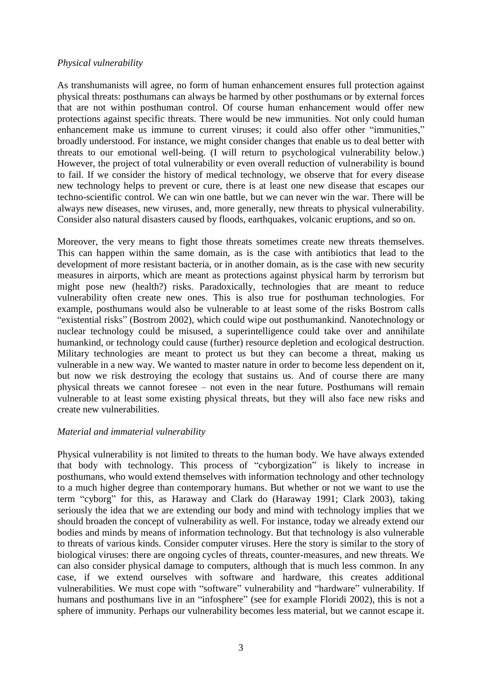## *Physical vulnerability*

As transhumanists will agree, no form of human enhancement ensures full protection against physical threats: posthumans can always be harmed by other posthumans or by external forces that are not within posthuman control. Of course human enhancement would offer new protections against specific threats. There would be new immunities. Not only could human enhancement make us immune to current viruses; it could also offer other "immunities," broadly understood. For instance, we might consider changes that enable us to deal better with threats to our emotional well-being. (I will return to psychological vulnerability below.) However, the project of total vulnerability or even overall reduction of vulnerability is bound to fail. If we consider the history of medical technology, we observe that for every disease new technology helps to prevent or cure, there is at least one new disease that escapes our techno-scientific control. We can win one battle, but we can never win the war. There will be always new diseases, new viruses, and, more generally, new threats to physical vulnerability. Consider also natural disasters caused by floods, earthquakes, volcanic eruptions, and so on.

Moreover, the very means to fight those threats sometimes create new threats themselves. This can happen within the same domain, as is the case with antibiotics that lead to the development of more resistant bacteria, or in another domain, as is the case with new security measures in airports, which are meant as protections against physical harm by terrorism but might pose new (health?) risks. Paradoxically, technologies that are meant to reduce vulnerability often create new ones. This is also true for posthuman technologies. For example, posthumans would also be vulnerable to at least some of the risks Bostrom calls "existential risks" (Bostrom 2002), which could wipe out posthumankind. Nanotechnology or nuclear technology could be misused, a superintelligence could take over and annihilate humankind, or technology could cause (further) resource depletion and ecological destruction. Military technologies are meant to protect us but they can become a threat, making us vulnerable in a new way. We wanted to master nature in order to become less dependent on it, but now we risk destroying the ecology that sustains us. And of course there are many physical threats we cannot foresee – not even in the near future. Posthumans will remain vulnerable to at least some existing physical threats, but they will also face new risks and create new vulnerabilities.

## *Material and immaterial vulnerability*

Physical vulnerability is not limited to threats to the human body. We have always extended that body with technology. This process of "cyborgization" is likely to increase in posthumans, who would extend themselves with information technology and other technology to a much higher degree than contemporary humans. But whether or not we want to use the term "cyborg" for this, as Haraway and Clark do (Haraway 1991; Clark 2003), taking seriously the idea that we are extending our body and mind with technology implies that we should broaden the concept of vulnerability as well. For instance, today we already extend our bodies and minds by means of information technology. But that technology is also vulnerable to threats of various kinds. Consider computer viruses. Here the story is similar to the story of biological viruses: there are ongoing cycles of threats, counter-measures, and new threats. We can also consider physical damage to computers, although that is much less common. In any case, if we extend ourselves with software and hardware, this creates additional vulnerabilities. We must cope with "software" vulnerability and "hardware" vulnerability. If humans and posthumans live in an "infosphere" (see for example Floridi 2002), this is not a sphere of immunity. Perhaps our vulnerability becomes less material, but we cannot escape it.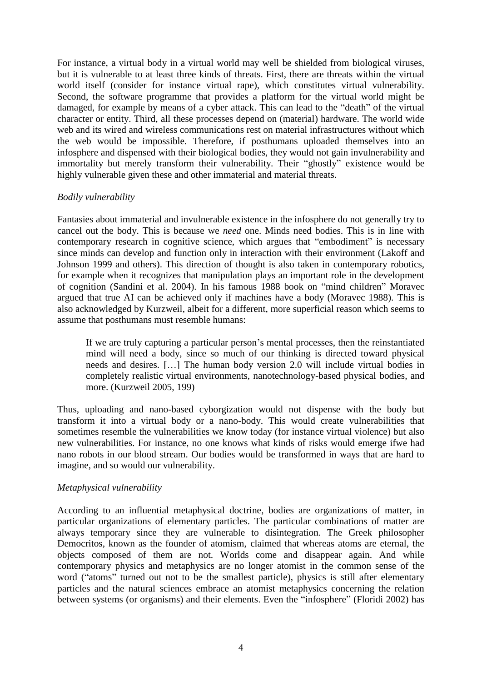For instance, a virtual body in a virtual world may well be shielded from biological viruses, but it is vulnerable to at least three kinds of threats. First, there are threats within the virtual world itself (consider for instance virtual rape), which constitutes virtual vulnerability. Second, the software programme that provides a platform for the virtual world might be damaged, for example by means of a cyber attack. This can lead to the "death" of the virtual character or entity. Third, all these processes depend on (material) hardware. The world wide web and its wired and wireless communications rest on material infrastructures without which the web would be impossible. Therefore, if posthumans uploaded themselves into an infosphere and dispensed with their biological bodies, they would not gain invulnerability and immortality but merely transform their vulnerability. Their "ghostly" existence would be highly vulnerable given these and other immaterial and material threats.

## *Bodily vulnerability*

Fantasies about immaterial and invulnerable existence in the infosphere do not generally try to cancel out the body. This is because we *need* one. Minds need bodies. This is in line with contemporary research in cognitive science, which argues that "embodiment" is necessary since minds can develop and function only in interaction with their environment (Lakoff and Johnson 1999 and others). This direction of thought is also taken in contemporary robotics, for example when it recognizes that manipulation plays an important role in the development of cognition (Sandini et al. 2004). In his famous 1988 book on "mind children" Moravec argued that true AI can be achieved only if machines have a body (Moravec 1988). This is also acknowledged by Kurzweil, albeit for a different, more superficial reason which seems to assume that posthumans must resemble humans:

If we are truly capturing a particular person's mental processes, then the reinstantiated mind will need a body, since so much of our thinking is directed toward physical needs and desires. […] The human body version 2.0 will include virtual bodies in completely realistic virtual environments, nanotechnology-based physical bodies, and more. (Kurzweil 2005, 199)

Thus, uploading and nano-based cyborgization would not dispense with the body but transform it into a virtual body or a nano-body. This would create vulnerabilities that sometimes resemble the vulnerabilities we know today (for instance virtual violence) but also new vulnerabilities. For instance, no one knows what kinds of risks would emerge ifwe had nano robots in our blood stream. Our bodies would be transformed in ways that are hard to imagine, and so would our vulnerability.

## *Metaphysical vulnerability*

According to an influential metaphysical doctrine, bodies are organizations of matter, in particular organizations of elementary particles. The particular combinations of matter are always temporary since they are vulnerable to disintegration. The Greek philosopher Democritos, known as the founder of atomism, claimed that whereas atoms are eternal, the objects composed of them are not. Worlds come and disappear again. And while contemporary physics and metaphysics are no longer atomist in the common sense of the word ("atoms" turned out not to be the smallest particle), physics is still after elementary particles and the natural sciences embrace an atomist metaphysics concerning the relation between systems (or organisms) and their elements. Even the "infosphere" (Floridi 2002) has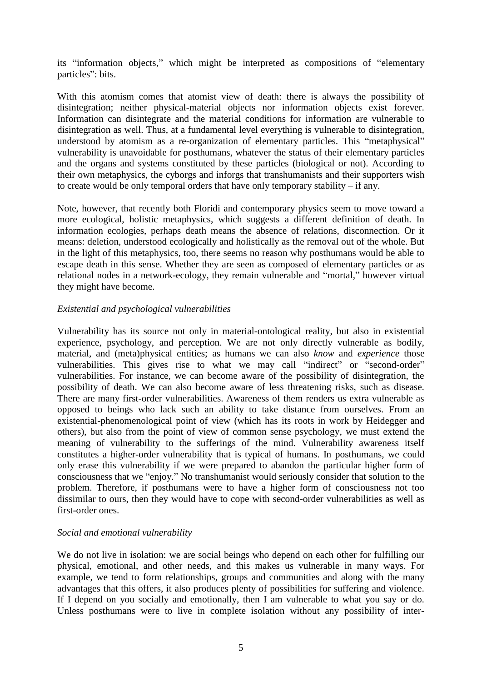its "information objects," which might be interpreted as compositions of "elementary particles": bits.

With this atomism comes that atomist view of death: there is always the possibility of disintegration; neither physical-material objects nor information objects exist forever. Information can disintegrate and the material conditions for information are vulnerable to disintegration as well. Thus, at a fundamental level everything is vulnerable to disintegration, understood by atomism as a re-organization of elementary particles. This "metaphysical" vulnerability is unavoidable for posthumans, whatever the status of their elementary particles and the organs and systems constituted by these particles (biological or not). According to their own metaphysics, the cyborgs and inforgs that transhumanists and their supporters wish to create would be only temporal orders that have only temporary stability – if any.

Note, however, that recently both Floridi and contemporary physics seem to move toward a more ecological, holistic metaphysics, which suggests a different definition of death. In information ecologies, perhaps death means the absence of relations, disconnection. Or it means: deletion, understood ecologically and holistically as the removal out of the whole. But in the light of this metaphysics, too, there seems no reason why posthumans would be able to escape death in this sense. Whether they are seen as composed of elementary particles or as relational nodes in a network-ecology, they remain vulnerable and "mortal," however virtual they might have become.

## *Existential and psychological vulnerabilities*

Vulnerability has its source not only in material-ontological reality, but also in existential experience, psychology, and perception. We are not only directly vulnerable as bodily, material, and (meta)physical entities; as humans we can also *know* and *experience* those vulnerabilities. This gives rise to what we may call "indirect" or "second-order" vulnerabilities. For instance, we can become aware of the possibility of disintegration, the possibility of death. We can also become aware of less threatening risks, such as disease. There are many first-order vulnerabilities. Awareness of them renders us extra vulnerable as opposed to beings who lack such an ability to take distance from ourselves. From an existential-phenomenological point of view (which has its roots in work by Heidegger and others), but also from the point of view of common sense psychology, we must extend the meaning of vulnerability to the sufferings of the mind. Vulnerability awareness itself constitutes a higher-order vulnerability that is typical of humans. In posthumans, we could only erase this vulnerability if we were prepared to abandon the particular higher form of consciousness that we "enjoy." No transhumanist would seriously consider that solution to the problem. Therefore, if posthumans were to have a higher form of consciousness not too dissimilar to ours, then they would have to cope with second-order vulnerabilities as well as first-order ones.

## *Social and emotional vulnerability*

We do not live in isolation: we are social beings who depend on each other for fulfilling our physical, emotional, and other needs, and this makes us vulnerable in many ways. For example, we tend to form relationships, groups and communities and along with the many advantages that this offers, it also produces plenty of possibilities for suffering and violence. If I depend on you socially and emotionally, then I am vulnerable to what you say or do. Unless posthumans were to live in complete isolation without any possibility of inter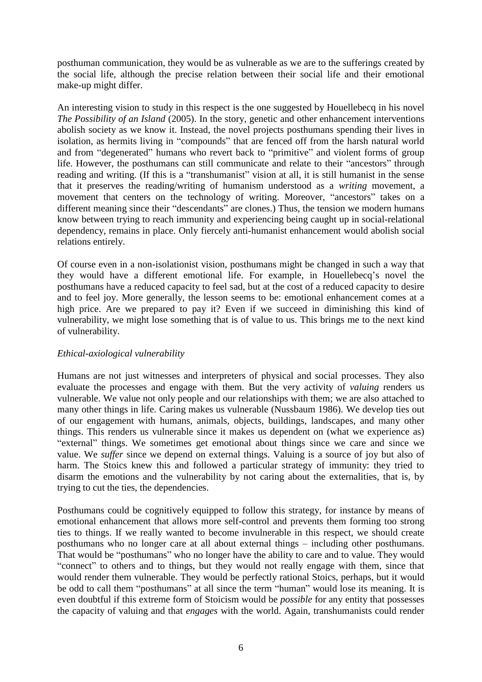posthuman communication, they would be as vulnerable as we are to the sufferings created by the social life, although the precise relation between their social life and their emotional make-up might differ.

An interesting vision to study in this respect is the one suggested by Houellebecq in his novel *The Possibility of an Island* (2005). In the story, genetic and other enhancement interventions abolish society as we know it. Instead, the novel projects posthumans spending their lives in isolation, as hermits living in "compounds" that are fenced off from the harsh natural world and from "degenerated" humans who revert back to "primitive" and violent forms of group life. However, the posthumans can still communicate and relate to their "ancestors" through reading and writing. (If this is a "transhumanist" vision at all, it is still humanist in the sense that it preserves the reading/writing of humanism understood as a *writing* movement, a movement that centers on the technology of writing. Moreover, "ancestors" takes on a different meaning since their "descendants" are clones.) Thus, the tension we modern humans know between trying to reach immunity and experiencing being caught up in social-relational dependency, remains in place. Only fiercely anti-humanist enhancement would abolish social relations entirely.

Of course even in a non-isolationist vision, posthumans might be changed in such a way that they would have a different emotional life. For example, in Houellebecq's novel the posthumans have a reduced capacity to feel sad, but at the cost of a reduced capacity to desire and to feel joy. More generally, the lesson seems to be: emotional enhancement comes at a high price. Are we prepared to pay it? Even if we succeed in diminishing this kind of vulnerability, we might lose something that is of value to us. This brings me to the next kind of vulnerability.

# *Ethical-axiological vulnerability*

Humans are not just witnesses and interpreters of physical and social processes. They also evaluate the processes and engage with them. But the very activity of *valuing* renders us vulnerable. We value not only people and our relationships with them; we are also attached to many other things in life. Caring makes us vulnerable (Nussbaum 1986). We develop ties out of our engagement with humans, animals, objects, buildings, landscapes, and many other things. This renders us vulnerable since it makes us dependent on (what we experience as) "external" things. We sometimes get emotional about things since we care and since we value. We *suffer* since we depend on external things. Valuing is a source of joy but also of harm. The Stoics knew this and followed a particular strategy of immunity: they tried to disarm the emotions and the vulnerability by not caring about the externalities, that is, by trying to cut the ties, the dependencies.

Posthumans could be cognitively equipped to follow this strategy, for instance by means of emotional enhancement that allows more self-control and prevents them forming too strong ties to things. If we really wanted to become invulnerable in this respect, we should create posthumans who no longer care at all about external things – including other posthumans. That would be "posthumans" who no longer have the ability to care and to value. They would "connect" to others and to things, but they would not really engage with them, since that would render them vulnerable. They would be perfectly rational Stoics, perhaps, but it would be odd to call them "posthumans" at all since the term "human" would lose its meaning. It is even doubtful if this extreme form of Stoicism would be *possible* for any entity that possesses the capacity of valuing and that *engages* with the world. Again, transhumanists could render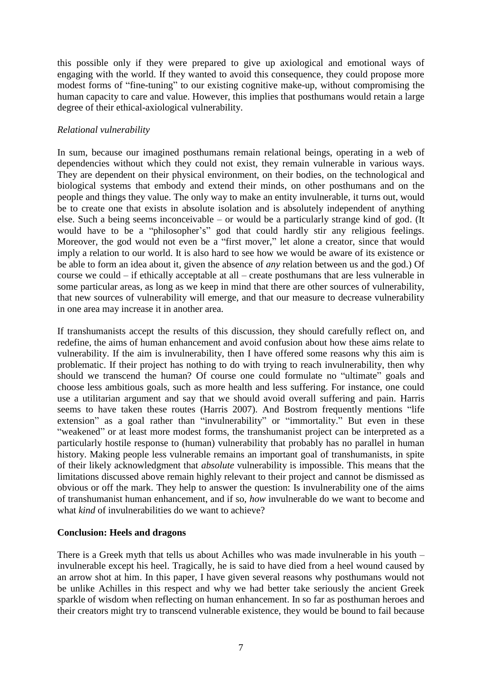this possible only if they were prepared to give up axiological and emotional ways of engaging with the world. If they wanted to avoid this consequence, they could propose more modest forms of "fine-tuning" to our existing cognitive make-up, without compromising the human capacity to care and value. However, this implies that posthumans would retain a large degree of their ethical-axiological vulnerability.

# *Relational vulnerability*

In sum, because our imagined posthumans remain relational beings, operating in a web of dependencies without which they could not exist, they remain vulnerable in various ways. They are dependent on their physical environment, on their bodies, on the technological and biological systems that embody and extend their minds, on other posthumans and on the people and things they value. The only way to make an entity invulnerable, it turns out, would be to create one that exists in absolute isolation and is absolutely independent of anything else. Such a being seems inconceivable – or would be a particularly strange kind of god. (It would have to be a "philosopher's" god that could hardly stir any religious feelings. Moreover, the god would not even be a "first mover," let alone a creator, since that would imply a relation to our world. It is also hard to see how we would be aware of its existence or be able to form an idea about it, given the absence of *any* relation between us and the god.) Of course we could – if ethically acceptable at all – create posthumans that are less vulnerable in some particular areas, as long as we keep in mind that there are other sources of vulnerability, that new sources of vulnerability will emerge, and that our measure to decrease vulnerability in one area may increase it in another area.

If transhumanists accept the results of this discussion, they should carefully reflect on, and redefine, the aims of human enhancement and avoid confusion about how these aims relate to vulnerability. If the aim is invulnerability, then I have offered some reasons why this aim is problematic. If their project has nothing to do with trying to reach invulnerability, then why should we transcend the human? Of course one could formulate no "ultimate" goals and choose less ambitious goals, such as more health and less suffering. For instance, one could use a utilitarian argument and say that we should avoid overall suffering and pain. Harris seems to have taken these routes (Harris 2007). And Bostrom frequently mentions "life extension" as a goal rather than "invulnerability" or "immortality." But even in these "weakened" or at least more modest forms, the transhumanist project can be interpreted as a particularly hostile response to (human) vulnerability that probably has no parallel in human history. Making people less vulnerable remains an important goal of transhumanists, in spite of their likely acknowledgment that *absolute* vulnerability is impossible. This means that the limitations discussed above remain highly relevant to their project and cannot be dismissed as obvious or off the mark. They help to answer the question: Is invulnerability one of the aims of transhumanist human enhancement, and if so, *how* invulnerable do we want to become and what *kind* of invulnerabilities do we want to achieve?

## **Conclusion: Heels and dragons**

There is a Greek myth that tells us about Achilles who was made invulnerable in his youth – invulnerable except his heel. Tragically, he is said to have died from a heel wound caused by an arrow shot at him. In this paper, I have given several reasons why posthumans would not be unlike Achilles in this respect and why we had better take seriously the ancient Greek sparkle of wisdom when reflecting on human enhancement. In so far as posthuman heroes and their creators might try to transcend vulnerable existence, they would be bound to fail because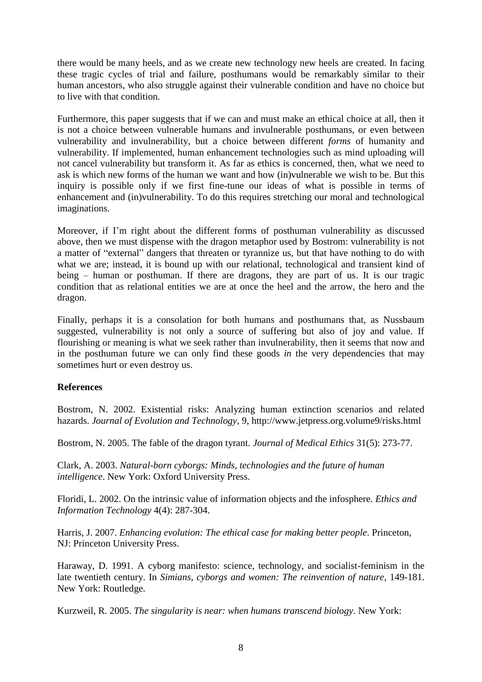there would be many heels, and as we create new technology new heels are created. In facing these tragic cycles of trial and failure, posthumans would be remarkably similar to their human ancestors, who also struggle against their vulnerable condition and have no choice but to live with that condition.

Furthermore, this paper suggests that if we can and must make an ethical choice at all, then it is not a choice between vulnerable humans and invulnerable posthumans, or even between vulnerability and invulnerability, but a choice between different *forms* of humanity and vulnerability. If implemented, human enhancement technologies such as mind uploading will not cancel vulnerability but transform it. As far as ethics is concerned, then, what we need to ask is which new forms of the human we want and how (in)vulnerable we wish to be. But this inquiry is possible only if we first fine-tune our ideas of what is possible in terms of enhancement and (in)vulnerability. To do this requires stretching our moral and technological imaginations.

Moreover, if I'm right about the different forms of posthuman vulnerability as discussed above, then we must dispense with the dragon metaphor used by Bostrom: vulnerability is not a matter of "external" dangers that threaten or tyrannize us, but that have nothing to do with what we are; instead, it is bound up with our relational, technological and transient kind of being – human or posthuman. If there are dragons, they are part of us. It is our tragic condition that as relational entities we are at once the heel and the arrow, the hero and the dragon.

Finally, perhaps it is a consolation for both humans and posthumans that, as Nussbaum suggested, vulnerability is not only a source of suffering but also of joy and value. If flourishing or meaning is what we seek rather than invulnerability, then it seems that now and in the posthuman future we can only find these goods *in* the very dependencies that may sometimes hurt or even destroy us.

# **References**

Bostrom, N. 2002. Existential risks: Analyzing human extinction scenarios and related hazards. *Journal of Evolution and Technology*, 9, http://www.jetpress.org.volume9/risks.html

Bostrom, N. 2005. The fable of the dragon tyrant. *Journal of Medical Ethics* 31(5): 273-77.

Clark, A. 2003. *Natural-born cyborgs: Minds, technologies and the future of human intelligence*. New York: Oxford University Press.

Floridi, L. 2002. On the intrinsic value of information objects and the infosphere. *Ethics and Information Technology* 4(4): 287-304.

Harris, J. 2007. *Enhancing evolution: The ethical case for making better people*. Princeton, NJ: Princeton University Press.

Haraway, D. 1991. A cyborg manifesto: science, technology, and socialist-feminism in the late twentieth century. In *Simians, cyborgs and women: The reinvention of nature*, 149-181. New York: Routledge.

Kurzweil, R. 2005. *The singularity is near: when humans transcend biology*. New York: